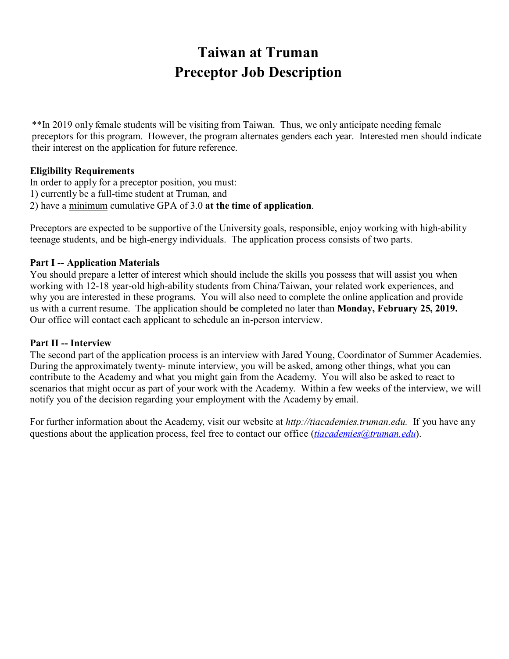# **Taiwan at Truman Preceptor Job Description**

\*\*In 2019 only female students will be visiting from Taiwan. Thus, we only anticipate needing female preceptors for this program. However, the program alternates genders each year. Interested men should indicate their interest on the application for future reference.

# **Eligibility Requirements**

In order to apply for a preceptor position, you must: 1) currently be a full-time student at Truman, and 2) have a minimum cumulative GPA of 3.0 **at the time of application**.

Preceptors are expected to be supportive of the University goals, responsible, enjoy working with high-ability teenage students, and be high-energy individuals. The application process consists of two parts.

# **Part I -- Application Materials**

You should prepare a letter of interest which should include the skills you possess that will assist you when working with 12-18 year-old high-ability students from China/Taiwan, your related work experiences, and why you are interested in these programs. You will also need to complete the online application and provide us with a current resume. The application should be completed no later than **Monday, February 25, 2019.**  Our office will contact each applicant to schedule an in-person interview.

# **Part II -- Interview**

The second part of the application process is an interview with Jared Young, Coordinator of Summer Academies. During the approximately twenty- minute interview, you will be asked, among other things, what you can contribute to the Academy and what you might gain from the Academy. You will also be asked to react to scenarios that might occur as part of your work with the Academy. Within a few weeks of the interview, we will notify you of the decision regarding your employment with the Academy by email.

For further information about the Academy, visit our website at *http://tiacademies.truman.edu.* If you have any questions about the application process, feel free to contact our office (*tiacademies@truman.edu*).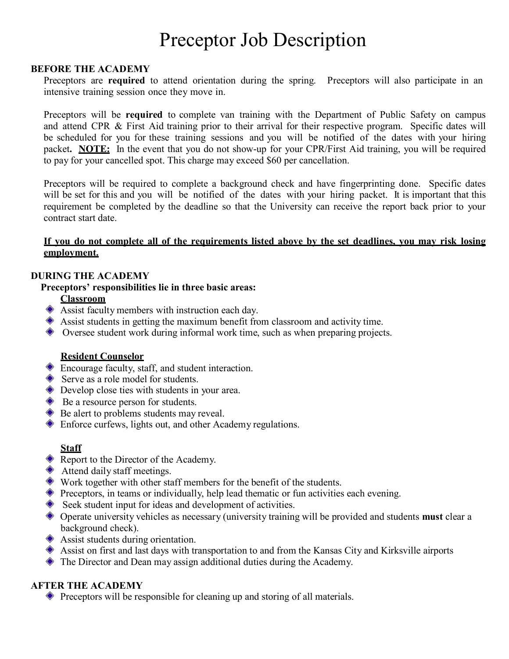# Preceptor Job Description

#### **BEFORE THE ACADEMY**

Preceptors are **required** to attend orientation during the spring. Preceptors will also participate in an intensive training session once they move in.

Preceptors will be **required** to complete van training with the Department of Public Safety on campus and attend CPR & First Aid training prior to their arrival for their respective program. Specific dates will be scheduled for you for these training sessions and you will be notified of the dates with your hiring packet**. NOTE:** In the event that you do not show-up for your CPR/First Aid training, you will be required to pay for your cancelled spot. This charge may exceed \$60 per cancellation.

Preceptors will be required to complete a background check and have fingerprinting done. Specific dates will be set for this and you will be notified of the dates with your hiring packet. It is important that this requirement be completed by the deadline so that the University can receive the report back prior to your contract start date.

#### If you do not complete all of the requirements listed above by the set deadlines, you may risk losing **employment.**

# **DURING THE ACADEMY**

#### **Preceptors' responsibilities lie in three basic areas:**

#### **Classroom**

- Assist faculty members with instruction each day.
- Assist students in getting the maximum benefit from classroom and activity time.
- Oversee student work during informal work time, such as when preparing projects.

#### **Resident Counselor**

- Encourage faculty, staff, and student interaction.
- Serve as a role model for students.
- **◆** Develop close ties with students in your area.
- **◆** Be a resource person for students.
- **◆** Be alert to problems students may reveal.
- Enforce curfews, lights out, and other Academy regulations.

# **Staff**

- Report to the Director of the Academy.
- ◆ Attend daily staff meetings.
- Work together with other staff members for the benefit of the students.
- Preceptors, in teams or individually, help lead thematic or fun activities each evening.
- Seek student input for ideas and development of activities.
- Operate university vehicles as necessary (university training will be provided and students **must** clear a background check).
- Assist students during orientation.
- Assist on first and last days with transportation to and from the Kansas City and Kirksville airports
- $\triangle$  The Director and Dean may assign additional duties during the Academy.

#### **AFTER THE ACADEMY**

Preceptors will be responsible for cleaning up and storing of all materials.